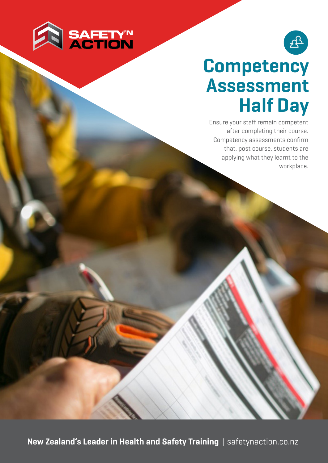



## **Competency Assessment Half Day**

Ensure your staff remain competent after completing their course. Competency assessments confirm that, post course, students are applying what they learnt to the workplace.